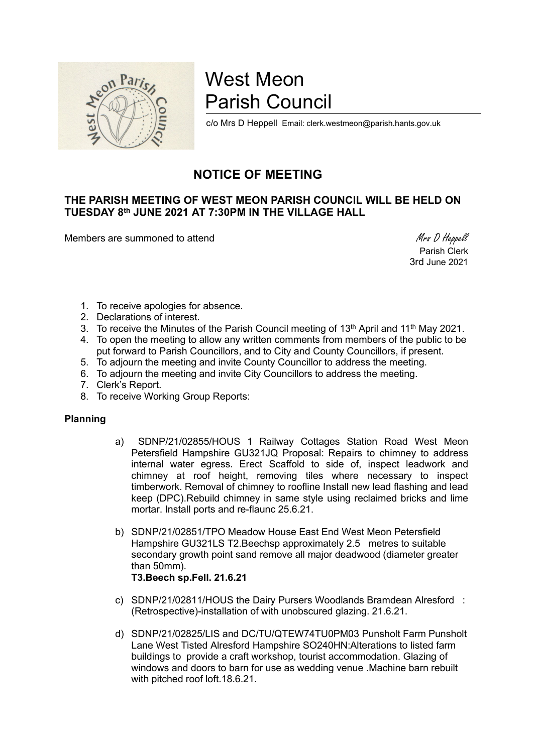

# West Meon Parish Council

c/o Mrs D Heppell Email: clerk.westmeon@parish.hants.gov.uk

## NOTICE OF MEETING

### THE PARISH MEETING OF WEST MEON PARISH COUNCIL WILL BE HELD ON TUESDAY 8th JUNE 2021 AT 7:30PM IN THE VILLAGE HALL

Members are summoned to attend Members are summoned to attend Members are summoned to attend Members and Members are summoned to attend  $M$ rs D Heppell

 Parish Clerk 3rd June 2021

- 1. To receive apologies for absence.
- 2. Declarations of interest.
- 3. To receive the Minutes of the Parish Council meeting of  $13<sup>th</sup>$  April and  $11<sup>th</sup>$  May 2021.
- 4. To open the meeting to allow any written comments from members of the public to be put forward to Parish Councillors, and to City and County Councillors, if present.
- 5. To adjourn the meeting and invite County Councillor to address the meeting.
- 6. To adjourn the meeting and invite City Councillors to address the meeting.
- 7. Clerk's Report.
- 8. To receive Working Group Reports:

#### Planning

- a) SDNP/21/02855/HOUS 1 Railway Cottages Station Road West Meon Petersfield Hampshire GU321JQ Proposal: Repairs to chimney to address internal water egress. Erect Scaffold to side of, inspect leadwork and chimney at roof height, removing tiles where necessary to inspect timberwork. Removal of chimney to roofline Install new lead flashing and lead keep (DPC).Rebuild chimney in same style using reclaimed bricks and lime mortar. Install ports and re-flaunc 25.6.21.
- b) SDNP/21/02851/TPO Meadow House East End West Meon Petersfield Hampshire GU321LS T2.Beechsp approximately 2.5 metres to suitable secondary growth point sand remove all major deadwood (diameter greater than 50mm). T3.Beech sp.Fell. 21.6.21
- c) SDNP/21/02811/HOUS the Dairy Pursers Woodlands Bramdean Alresford : (Retrospective)-installation of with unobscured glazing. 21.6.21.
- d) SDNP/21/02825/LIS and DC/TU/QTEW74TU0PM03 Punsholt Farm Punsholt Lane West Tisted Alresford Hampshire SO240HN:Alterations to listed farm buildings to provide a craft workshop, tourist accommodation. Glazing of windows and doors to barn for use as wedding venue .Machine barn rebuilt with pitched roof loft.18.6.21.